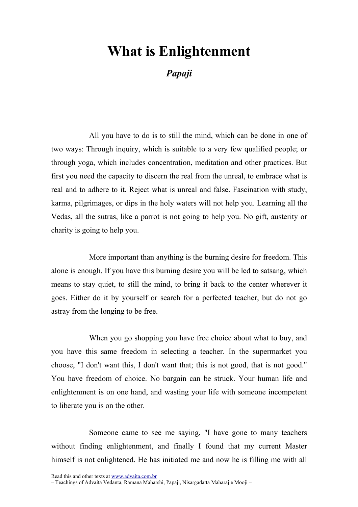## What is Enlightenment

Papaji

All you have to do is to still the mind, which can be done in one of two ways: Through inquiry, which is suitable to a very few qualified people; or through yoga, which includes concentration, meditation and other practices. But first you need the capacity to discern the real from the unreal, to embrace what is real and to adhere to it. Reject what is unreal and false. Fascination with study, karma, pilgrimages, or dips in the holy waters will not help you. Learning all the Vedas, all the sutras, like a parrot is not going to help you. No gift, austerity or charity is going to help you.

More important than anything is the burning desire for freedom. This alone is enough. If you have this burning desire you will be led to satsang, which means to stay quiet, to still the mind, to bring it back to the center wherever it goes. Either do it by yourself or search for a perfected teacher, but do not go astray from the longing to be free.

When you go shopping you have free choice about what to buy, and you have this same freedom in selecting a teacher. In the supermarket you choose, "I don't want this, I don't want that; this is not good, that is not good." You have freedom of choice. No bargain can be struck. Your human life and enlightenment is on one hand, and wasting your life with someone incompetent to liberate you is on the other.

Someone came to see me saying, "I have gone to many teachers without finding enlightenment, and finally I found that my current Master himself is not enlightened. He has initiated me and now he is filling me with all

Read this and other texts at www.advaita.com.br

– Teachings of Advaita Vedanta, Ramana Maharshi, Papaji, Nisargadatta Maharaj e Mooji –